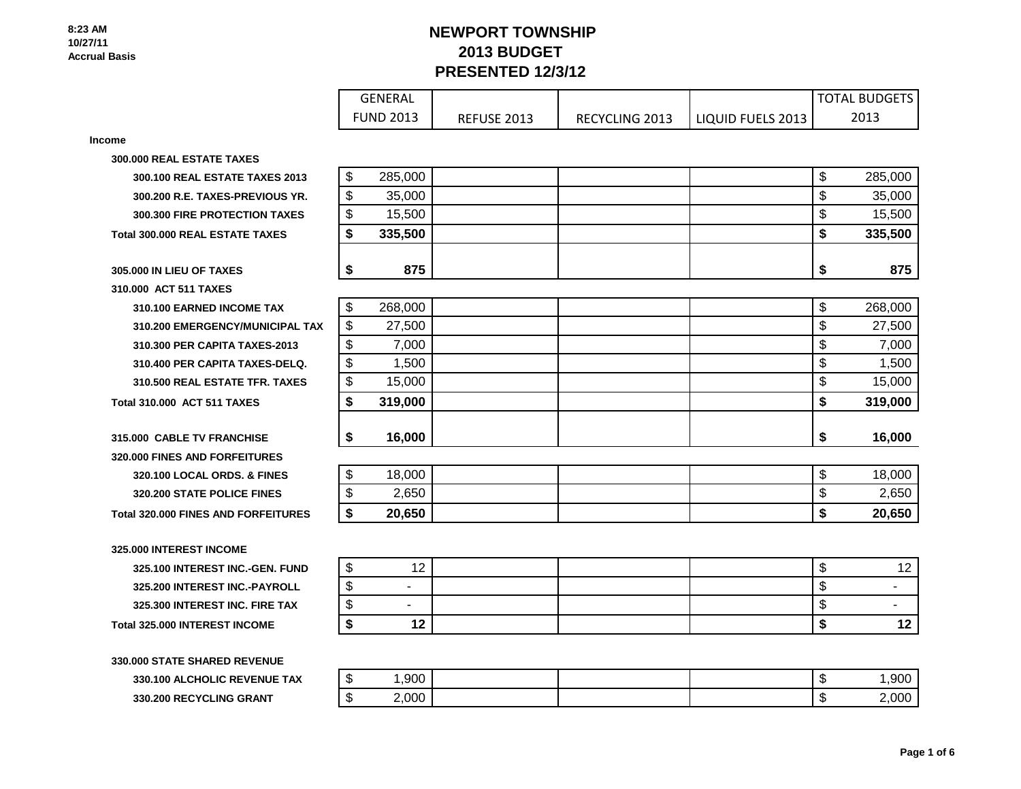# **NEWPORT TOWNSHIP 2013 BUDGET PRESENTED 12/3/12**

| <b>GENERAL</b>   |             |                       |                   | ' TOTAL BUDGETS |
|------------------|-------------|-----------------------|-------------------|-----------------|
| <b>FUND 2013</b> | REFUSE 2013 | <b>RECYCLING 2013</b> | LIQUID FUELS 2013 | 2013            |

**Income**

**300.000 REAL ESTATE TAXES**

**300.100 REAL ESTATE TAXES 2013 300.200 R.E. TAXES-PREVIOUS YR. 300.300 FIRE PROTECTION TAXES Total 300.000 REAL ESTATE TAXES \$ 335,500 \$ 335,500**

## **305.000 IN LIEU OF TAXES \$ 875 \$ 875 310.000 ACT 511 TAXES**

**310.100 EARNED INCOME TAX 310.200 EMERGENCY/MUNICIPAL TAX 310.300 PER CAPITA TAXES-2013** 310.400 PER CAPITA TAXES-DELQ. **310.500 REAL ESTATE TFR. TAXES Total 310.000 ACT 511 TAXES \$ 319,000 \$ 319,000**

**315.000 CABLE TV FRANCHISE \$ 16,000 \$ 16,000 320.000 FINES AND FORFEITURES 320.100 LOCAL ORDS. & FINES 320.200 STATE POLICE FINES Total 320.000 FINES AND FORFEITURES** 

**325.000 INTEREST INCOME**

**325.100 INTEREST INC.-GEN. FUND 325.200 INTEREST INC.-PAYROLL 325.300 INTEREST INC. FIRE TAX Total 325.000 INTEREST INCOME** 

**330.000 STATE SHARED REVENUE 330.100 ALCHOLIC REVENUE TAX 330.200 RECYCLING GRANT** 

| \$                       | 285,000                        | \$                       | 285,000                            |
|--------------------------|--------------------------------|--------------------------|------------------------------------|
| \$                       | 35,000                         | \$                       | 35,000                             |
| \$                       | 15,500                         | \$                       | 15,500                             |
| \$                       | 335,500                        | \$                       | 335,500                            |
|                          |                                |                          |                                    |
| \$                       | 875                            | \$                       | 875                                |
|                          |                                |                          |                                    |
| $\boldsymbol{\$}$        | 268,000                        | \$                       | 268,000                            |
| $\overline{\mathbf{S}}$  | 27,500                         | \$                       | 27,500                             |
| \$                       | 7,000                          | \$                       | 7,000                              |
| $\overline{\mathcal{E}}$ | 1,500                          | $\overline{\mathcal{G}}$ | 1,500                              |
| $\overline{\mathcal{G}}$ | 15,000                         | $\overline{\mathcal{S}}$ | 15,000                             |
| \$                       | 319,000                        | \$                       | 319,000                            |
|                          |                                |                          |                                    |
| \$                       | 16,000                         | \$                       | 16,000                             |
|                          |                                |                          |                                    |
| \$                       | 18,000                         | \$                       | 18,000                             |
| \$                       | 2,650                          |                          | 2,650                              |
|                          |                                | \$                       |                                    |
| \$                       | 20,650                         | \$                       |                                    |
|                          |                                |                          | 20,650                             |
|                          |                                |                          |                                    |
| \$                       | 12                             | \$                       |                                    |
| \$                       | $\overline{\phantom{a}}$       | \$                       | 12<br>$\qquad \qquad \blacksquare$ |
| \$<br>\$                 | $\overline{\phantom{a}}$<br>12 | \$<br>\$                 | $\qquad \qquad \blacksquare$<br>12 |

| -11  | ,900   |  | - 11 | anr |
|------|--------|--|------|-----|
| - 13 | 2,000' |  | - 11 | റററ |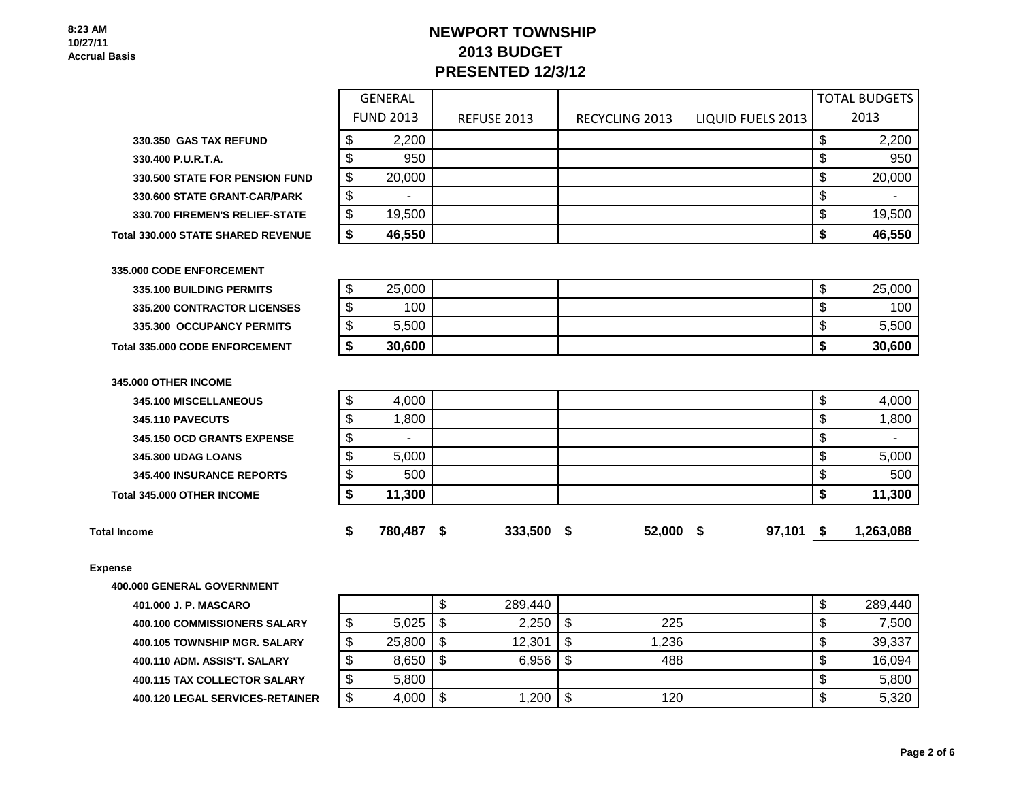# **NEWPORT TOWNSHIP 2013 BUDGET PRESENTED 12/3/12**

GENERAL

| 330.350 GAS TAX REFUND                    |
|-------------------------------------------|
| 330.400 P.U.R.T.A.                        |
| <b>330.500 STATE FOR PENSION FUND</b>     |
| 330.600 STATE GRANT-CAR/PARK              |
| 330.700 FIREMEN'S RELIEF-STATE            |
| <b>Total 330,000 STATE SHARED REVENUE</b> |

|                                       |    | <b>FUND 2013</b> | <b>REFUSE 2013</b> | <b>RECYCLING 2013</b> | LIQUID FUELS 2013 | 2013   |
|---------------------------------------|----|------------------|--------------------|-----------------------|-------------------|--------|
| <b>330.350 GAS TAX REFUND</b>         |    | 2,200            |                    |                       |                   | 2,200  |
| 330.400 P.U.R.T.A.                    | ง  | 950              |                    |                       |                   | 950    |
| <b>330.500 STATE FOR PENSION FUND</b> | \$ | 20,000           |                    |                       |                   | 20,000 |
| 330.600 STATE GRANT-CAR/PARK          | S  |                  |                    |                       |                   |        |
| <b>330.700 FIREMEN'S RELIEF-STATE</b> | \$ | 19,500           |                    |                       |                   | 19,500 |
| <b>1330.000 STATE SHARED REVENUE</b>  | S  | 46,550           |                    |                       |                   | 46,550 |
|                                       |    |                  |                    |                       |                   |        |
| MA CODE ENEODCEMENT                   |    |                  |                    |                       |                   |        |

**335.000 CODE ENFORCEMENT 335.100 BUILDING PERMITS 335.200 CONTRACTOR LICENSES 335.300 OCCUPANCY PERMITS Total 335.000 CODE ENFORCEMENT** 

| ₼<br>ѡ | 25,000 |  | ۰D  | 25,000 |
|--------|--------|--|-----|--------|
| ₼<br>w | 100    |  | ۰IJ | 100    |
| ́<br>w | 5,500  |  | ۰IJ | 5,500  |
|        | 30,600 |  |     | 30,600 |

| <b>P</b>                   |                  |         |              |              |      |           |
|----------------------------|------------------|---------|--------------|--------------|------|-----------|
| <b>Total Income</b>        | \$<br>780,487 \$ | 333,500 | \$<br>52,000 | \$<br>97,101 | - \$ | 1,263,088 |
| Total 345,000 OTHER INCOME | 11,300           |         |              |              |      | 11,300    |
| 345,400 INSURANCE REPORTS  | 500              |         |              |              |      | 500       |
| <b>345,300 UDAG LOANS</b>  | 5,000            |         |              |              |      | 5,000     |
| 345.150 OCD GRANTS EXPENSE |                  |         |              |              |      | -         |
| <b>345.110 PAVECUTS</b>    | 1,800            |         |              |              |      | 1,800     |
| 345.100 MISCELLANEOUS      | 4,000            |         |              |              |      | 4,000     |
| 345,000 OTHER INCOME       |                  |         |              |              |      |           |

### **Expense**

**400.000 GENERAL GOVERNMENT**

**401.000 J. P. MASCARO** 

**400.100 COMMISSIONERS SALARY** 

**400.105 TOWNSHIP MGR. SALARY** 

**400.110 ADM. ASSIS'T. SALARY 400.115 TAX COLLECTOR SALARY** 

**400.120 LEGAL SERVICES-RETAINER** 

|        |        |         | 289,440 |             | \$ | 289,440 |
|--------|--------|---------|---------|-------------|----|---------|
| ∩<br>Φ | 5,025  |         | 2,250   | \$<br>225   | Φ  | 7,500   |
| \$     | 25,800 | \$      | 12,301  | \$<br>1,236 | \$ | 39,337  |
| \$     | 8,650  | \$      | 6,956   | \$<br>488   | \$ | 16,094  |
| \$     | 5,800  |         |         |             | \$ | 5,800   |
| ጥ<br>D | 4,000  | ₼<br>۰D | 1,200   | \$<br>120   | \$ | 5,320   |

TOTAL BUDGETS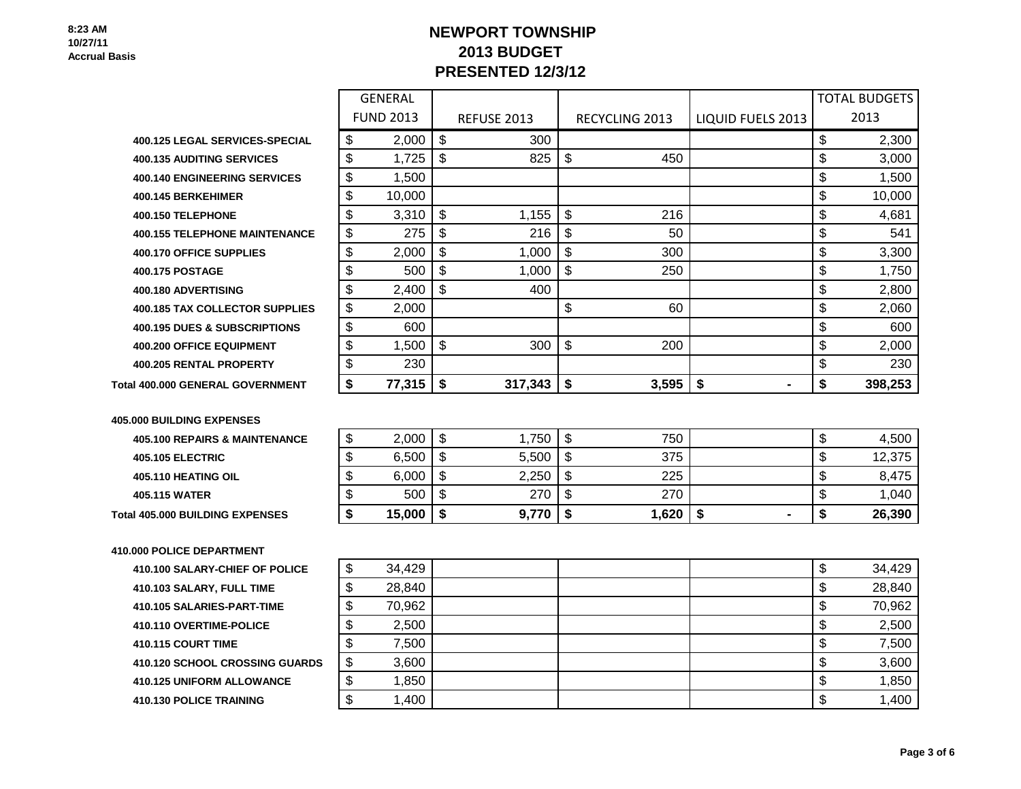# **NEWPORT TOWNSHIP 2013 BUDGET PRESENTED 12/3/12**

FUND 2013 REFUSE 2013 RECYCLING 2013 LIQUID FUELS 2013

GENERAL

| . SERVICES-SPECIAL<br>400.125<br><b>LEGAL</b> | мD | იიი |  | 300 |  |  |  | .300 |
|-----------------------------------------------|----|-----|--|-----|--|--|--|------|
|-----------------------------------------------|----|-----|--|-----|--|--|--|------|

400.135 AUDITING SERVICES **\$ 1,725 \$ 825 \$ 450 \$ 1,000** \$ 3,000

**400.140 ENGINEERING SERVICES**  $\begin{bmatrix} 1 \\ 3 \end{bmatrix}$  1,500  $\begin{bmatrix} 1 \\ 1 \end{bmatrix}$  1,500  $\begin{bmatrix} 1 \\ 2 \end{bmatrix}$  1,500  $\begin{bmatrix} 1 \\ 2 \end{bmatrix}$ 

**400.145 BERKEHIMER** \$ 10,000 \$ 10,000

400.150 TELEPHONE 1.155 L \$ 216 L 4.681

**400.155 TELEPHONE MAINTENANCE** \$ 275 \ \$ 216 \ \$ 50 \$ 541 400.170 OFFICE SUPPLIES  $\begin{vmatrix} \$ & 2,000 \end{vmatrix}$   $\begin{vmatrix} \$ & 1,000 \end{vmatrix}$   $\begin{vmatrix} \$ & 300 \end{vmatrix}$   $\begin{vmatrix} \$ & 3,300 \end{vmatrix}$ 

400.175 POSTAGE | \$ 500 | \$ 1,000 | \$ 250 | | \$ 1,750

**400.180 ADVERTISING 5 1.80 5 400 <b>5 400 5 1.80 5 5 4.800 5 5 5 2.800** 

**400.185 TAX COLLECTOR SUPPLIES**  $\begin{bmatrix} 0.000 \\ 0.0000 \end{bmatrix}$   $\begin{bmatrix} 0.000 \\ 0.000 \end{bmatrix}$   $\begin{bmatrix} 0.000 \\ 0.000 \end{bmatrix}$   $\begin{bmatrix} 0.000 \\ 0.000 \end{bmatrix}$   $\begin{bmatrix} 0.000 \\ 0.000 \end{bmatrix}$ 

**400.195 DUES & SUBSCRIPTIONS** \$ 600 \$ 600

**400.200 OFFICE EQUIPMENT** \$ 1,500 \$ 300 \$ 200 \$ 2,000

**400.205 RENTAL PROPERTY** \$ 230 \$ 230

**Total 400.000 GENERAL GOVERNMENT \$ 77,315 \$ 317,343 \$ 3,595 \$ - \$ 398,253**

## **405.000 BUILDING EXPENSES**

| <b>Total 405.000 BUILDING EXPENSES</b>   | 15,000 | 9.770 | ,620 |  | 26,390 |
|------------------------------------------|--------|-------|------|--|--------|
| 405.115 WATER                            | 500    | 270   | 270  |  | 1,040  |
| <b>405.110 HEATING OIL</b>               | 6,000  | 2,250 | 225  |  | 8,475  |
| <b>405.105 ELECTRIC</b>                  | 6.500  | 5,500 | 375  |  | 12,375 |
| <b>405.100 REPAIRS &amp; MAINTENANCE</b> | 2,000  | ,750  | 750  |  | 4,500  |

# **410.000 POLICE DEPARTMENT**

**410.100 SALARY-CHIEF OF POLICE 410.103 SALARY, FULL TIME 410.105 SALARIES-PART-TIME 410.110 OVERTIME-POLICE 410.115 COURT TIME 410.120 SCHOOL CROSSING GUARDS 410.125 UNIFORM ALLOWANCE 410.130 POLICE TRAINING** 

| \$     | 34,429 |  | \$ | 34,429 |
|--------|--------|--|----|--------|
| \$     | 28,840 |  | \$ | 28,840 |
| \$     | 70,962 |  | \$ | 70,962 |
| \$     | 2,500  |  | \$ | 2,500  |
| \$     | 7,500  |  | \$ | 7,500  |
| \$     | 3,600  |  | \$ | 3,600  |
| \$     | 1,850  |  | \$ | 1,850  |
| ጦ<br>Φ | 1,400  |  | \$ | 1,400  |

TOTAL BUDGETS 2013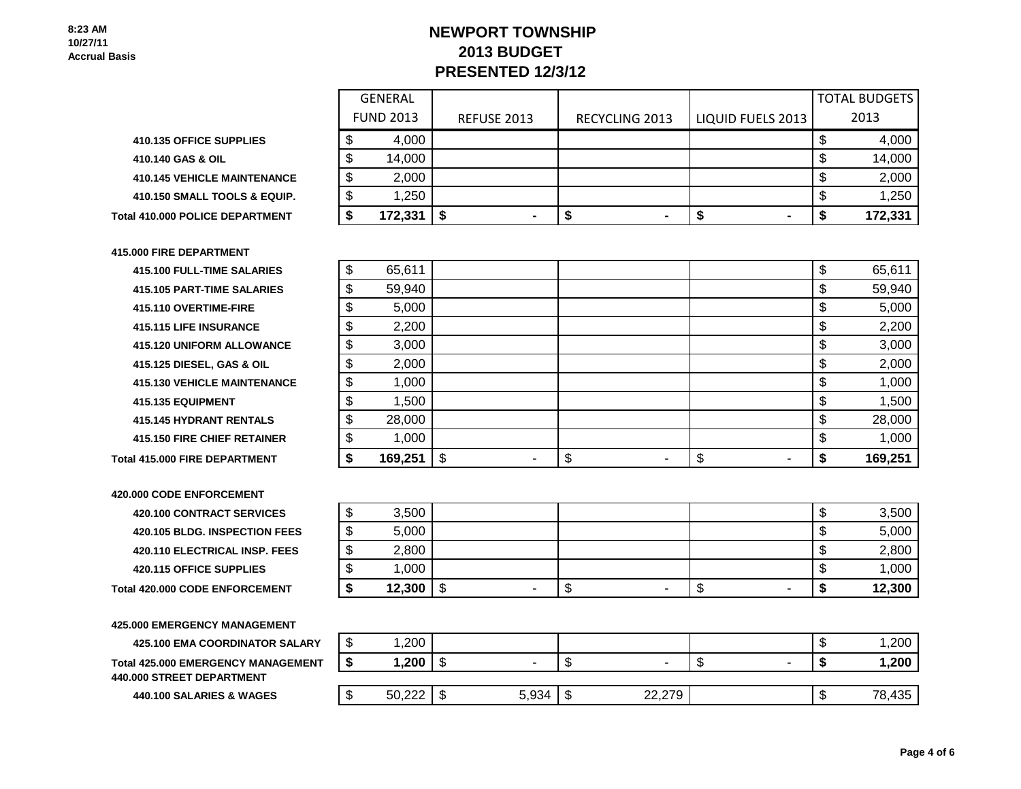# **NEWPORT TOWNSHIP 2013 BUDGET PRESENTED 12/3/12**

| 410.135 OFFICE SUPPLIES            |
|------------------------------------|
| 410.140 GAS & OIL                  |
| <b>410.145 VEHICLE MAINTENANCE</b> |
| 410.150 SMALL TOOLS & EQUIP.       |
|                                    |

 **Total 410.000 POLICE DEPARTMENT** 

### **415.000 FIRE DEPARTMENT**

**415.100 FULL-TIME SALARIES 415.105 PART-TIME SALARIES 415.110 OVERTIME-FIRE 415.115 LIFE INSURANCE 415.120 UNIFORM ALLOWANCE 415.125 DIESEL, GAS & OIL 415.130 VEHICLE MAINTENANCE 415.135 EQUIPMENT 415.145 HYDRANT RENTALS 415.150 FIRE CHIEF RETAINER Total 415.000 FIRE DEPARTMENT** 

**420.000 CODE ENFORCEMENT 420.100 CONTRACT SERVICES 420.105 BLDG. INSPECTION FEES 420.110 ELECTRICAL INSP. FEES 420.115 OFFICE SUPPLIES Total 420.000 CODE ENFORCEMENT** 

**425.000 EMERGENCY MANAGEMENT**

**425.100 EMA COORDINATOR SALARY Total 425.000 EMERGENCY MANAGEMENT 440.000 STREET DEPARTMENT**

**440.100 SALARIES & WAGES** 

|                                    | <b>GENERAL</b>   |                    |                |                   | <b>TOTAL BUDGETS</b> |
|------------------------------------|------------------|--------------------|----------------|-------------------|----------------------|
|                                    | <b>FUND 2013</b> | <b>REFUSE 2013</b> | RECYCLING 2013 | LIQUID FUELS 2013 | 2013                 |
| <b>410.135 OFFICE SUPPLIES</b>     | 4,000            |                    |                |                   | 4,000                |
| 410.140 GAS & OIL                  | 14,000           |                    |                |                   | 14,000               |
| <b>410.145 VEHICLE MAINTENANCE</b> | 2,000            |                    |                |                   | 2,000                |
| 410.150 SMALL TOOLS & EQUIP.       | 1,250            |                    |                |                   | 1,250                |
| <b>I 410.000 POLICE DEPARTMENT</b> | 172,331          |                    |                | $\blacksquare$    | 172,331              |

| \$<br>65,611  |          | \$       | 65,611  |
|---------------|----------|----------|---------|
| \$<br>59,940  |          | \$       | 59,940  |
| \$<br>5,000   |          | \$       | 5,000   |
| \$<br>2,200   |          | \$       | 2,200   |
| \$<br>3,000   |          | \$       | 3,000   |
| \$<br>2,000   |          | \$       | 2,000   |
| \$<br>1,000   |          | \$       | 1,000   |
| \$<br>1,500   |          | \$       | 1,500   |
| \$<br>28,000  |          | \$       | 28,000  |
| \$<br>1,000   |          | \$       | 1,000   |
| \$<br>169,251 | \$<br>\$ | \$<br>\$ | 169,251 |

| æ<br>Φ  | 3,500  |         |   |    | Φ      | 3,500  |
|---------|--------|---------|---|----|--------|--------|
| ₼<br>۰D | 5,000  |         |   |    | æ<br>Φ | 5,000  |
| จ       | 2,800  |         |   |    | J      | 2,800  |
| æ<br>Φ  | 1,000  |         |   |    | Φ      | 1,000  |
| æ       | 12,300 | \$<br>- | Œ | \$ | æ      | 12,300 |

| œ<br>۰D | ,200<br>$\overline{A}$ |       |         |        |   |   | κIJ  | 1,200  |
|---------|------------------------|-------|---------|--------|---|---|------|--------|
|         | 1,200                  | -     | د ۱     |        | w | ۰ |      | 1,200  |
|         |                        |       |         |        |   |   |      |        |
| ጥ<br>ъD | 50,222                 | 5,934 | ₼<br>۰D | 22,279 |   |   | - 13 | 78,435 |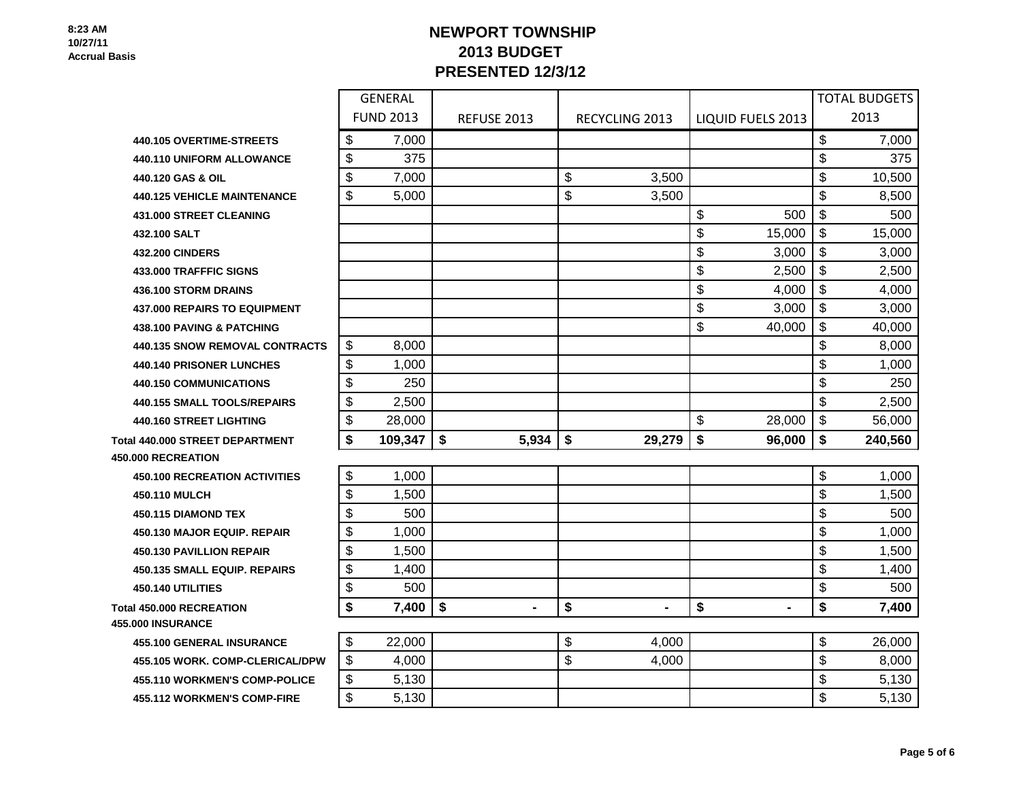# **NEWPORT TOWNSHIP 2013 BUDGET PRESENTED 12/3/12**

|                                        | <b>GENERAL</b> |                  |                    |                      |                          | <b>TOTAL BUDGETS</b> |         |
|----------------------------------------|----------------|------------------|--------------------|----------------------|--------------------------|----------------------|---------|
|                                        |                | <b>FUND 2013</b> | <b>REFUSE 2013</b> | RECYCLING 2013       | <b>LIQUID FUELS 2013</b> |                      | 2013    |
| <b>440.105 OVERTIME-STREETS</b>        | \$             | 7,000            |                    |                      |                          | \$                   | 7,000   |
| <b>440.110 UNIFORM ALLOWANCE</b>       | \$             | 375              |                    |                      |                          | \$                   | 375     |
| 440.120 GAS & OIL                      | \$             | 7,000            |                    | \$<br>3,500          |                          | \$                   | 10,500  |
| <b>440.125 VEHICLE MAINTENANCE</b>     | \$             | 5,000            |                    | \$<br>3,500          |                          | \$                   | 8,500   |
| <b>431.000 STREET CLEANING</b>         |                |                  |                    |                      | \$<br>500                | \$                   | 500     |
| 432.100 SALT                           |                |                  |                    |                      | \$<br>15,000             | \$                   | 15,000  |
| <b>432.200 CINDERS</b>                 |                |                  |                    |                      | \$<br>3,000              | \$                   | 3,000   |
| <b>433.000 TRAFFFIC SIGNS</b>          |                |                  |                    |                      | \$<br>2,500              | \$                   | 2,500   |
| 436.100 STORM DRAINS                   |                |                  |                    |                      | \$<br>4,000              | \$                   | 4,000   |
| <b>437.000 REPAIRS TO EQUIPMENT</b>    |                |                  |                    |                      | \$<br>3,000              | \$                   | 3,000   |
| <b>438.100 PAVING &amp; PATCHING</b>   |                |                  |                    |                      | \$<br>40,000             | \$                   | 40,000  |
| <b>440.135 SNOW REMOVAL CONTRACTS</b>  | \$             | 8,000            |                    |                      |                          | \$                   | 8,000   |
| <b>440.140 PRISONER LUNCHES</b>        | \$             | 1,000            |                    |                      |                          | \$                   | 1,000   |
| <b>440.150 COMMUNICATIONS</b>          | \$             | 250              |                    |                      |                          | \$                   | 250     |
| <b>440.155 SMALL TOOLS/REPAIRS</b>     | \$             | 2,500            |                    |                      |                          | \$                   | 2,500   |
| <b>440.160 STREET LIGHTING</b>         | \$             | 28,000           |                    |                      | \$<br>28,000             | \$                   | 56,000  |
| al 440.000 STREET DEPARTMENT           | \$             | 109,347          | \$<br>5,934        | \$<br>29,279         | \$<br>96,000             | \$                   | 240,560 |
| <b>000 RECREATION</b>                  |                |                  |                    |                      |                          |                      |         |
| <b>450.100 RECREATION ACTIVITIES</b>   | \$             | 1,000            |                    |                      |                          | \$                   | 1,000   |
| 450.110 MULCH                          | \$             | 1,500            |                    |                      |                          | \$                   | 1,500   |
| 450.115 DIAMOND TEX                    | \$             | 500              |                    |                      |                          | \$                   | 500     |
| <b>450.130 MAJOR EQUIP. REPAIR</b>     | \$             | 1,000            |                    |                      |                          | \$                   | 1,000   |
| <b>450.130 PAVILLION REPAIR</b>        | \$             | 1,500            |                    |                      |                          | \$                   | 1,500   |
| <b>450.135 SMALL EQUIP. REPAIRS</b>    | \$             | 1,400            |                    |                      |                          | \$                   | 1,400   |
| 450.140 UTILITIES                      | \$             | 500              |                    |                      |                          | \$                   | 500     |
| al 450.000 RECREATION<br>000 INSURANCE | \$             | 7,400            | \$                 | \$<br>$\blacksquare$ | \$<br>$\blacksquare$     | \$                   | 7,400   |
| <b>455.100 GENERAL INSURANCE</b>       | \$             | 22,000           |                    | \$<br>4,000          |                          | \$                   | 26,000  |
| 455.105 WORK. COMP-CLERICAL/DPW        | \$             | 4,000            |                    | \$<br>4,000          |                          | \$                   | 8,000   |
| <b>455.110 WORKMEN'S COMP-POLICE</b>   | \$             | 5,130            |                    |                      |                          | \$                   | 5,130   |
| <b>455.112 WORKMEN'S COMP-FIRE</b>     | \$             | 5,130            |                    |                      |                          | \$                   | 5,130   |

**440.120 GAS & OIL 440.125 VEHICLE MAINTE 431.000 STREET CLEANIN 433.000 TRAFFFIC SIGNS 436.100 STORM DRAINS 437.000 REPAIRS TO EQU 438.100 PAVING & PATCH 440.135 SNOW REMOVAL 440.140 PRISONER LUNC 440.150 COMMUNICATION 440.155 SMALL TOOLS/RI 440.160 STREET LIGHTIN**  $Total 440.000$  **STREET DEPART** 

**450.000 RECREATION**

 $T$ otal 450.000 **RECREATION 455.000 INSURANCE**